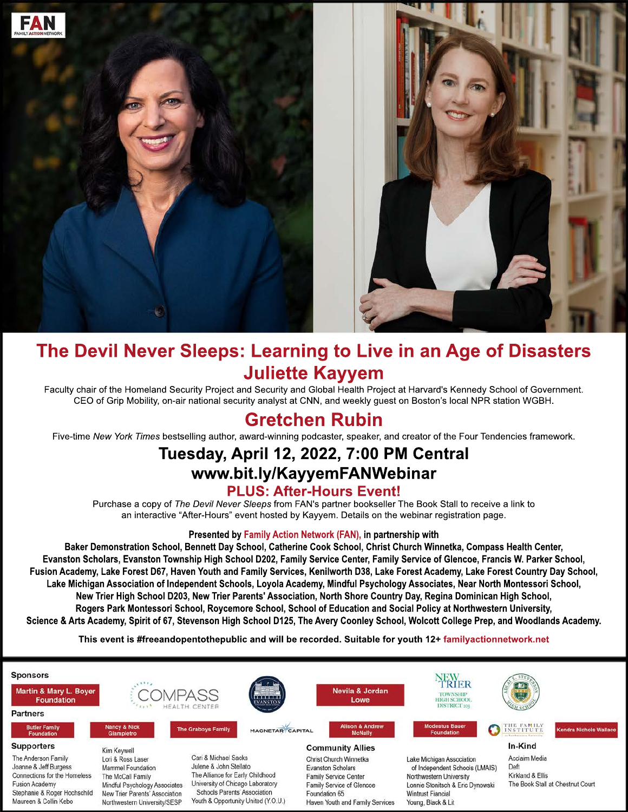

# **The Devil Never Sleeps: Learning to Live in an Age of Disasters Juliette Kayyem**

Faculty chair of the Homeland Security Project and Security and Global Health Project at Harvard's Kennedy School of Government. CEO of Grip Mobility, on-air national security analyst at CNN, and weekly guest on Boston's local NPR station WGBH.

# **Gretchen Rubin**

Five-time *New York Times* bestselling author, award-winning podcaster, speaker, and creator of the Four Tendencies framework.

# **Tuesday, April 12, 2022, 7:00 PM Central www.bit.ly/KayyemFANWebinar**

## **PLUS: After-Hours Event!**

Purchase a copy of *The Devil Never Sleeps* from FAN's partner bookseller The Book Stall to receive a link to an interactive "After-Hours" event hosted by Kayyem. Details on the webinar registration page.

#### **Presented by Family Action Network (FAN), in partnership with**

**Baker Demonstration School, Bennett Day School, Catherine Cook School, Christ Church Winnetka, Compass Health Center, Evanston Scholars, Evanston Township High School D202, Family Service Center, Family Service of Glencoe, Francis W. Parker School, Fusion Academy, Lake Forest D67, Haven Youth and Family Services, Kenilworth D38, Lake Forest Academy, Lake Forest Country Day School, Lake Michigan Association of Independent Schools, Loyola Academy, Mindful Psychology Associates, Near North Montessori School, New Trier High School D203, New Trier Parents' Association, North Shore Country Day, Regina Dominican High School, Rogers Park Montessori School, Roycemore School, School of Education and Social Policy at Northwestern University, Science & Arts Academy, Spirit of 67, Stevenson High School D125, The Avery Coonley School, Wolcott College Prep, and Woodlands Academy. &**

**This event is #freeandopentothepublic and will be recorded. Suitable for youth 12+ familyactionnetwork.net**